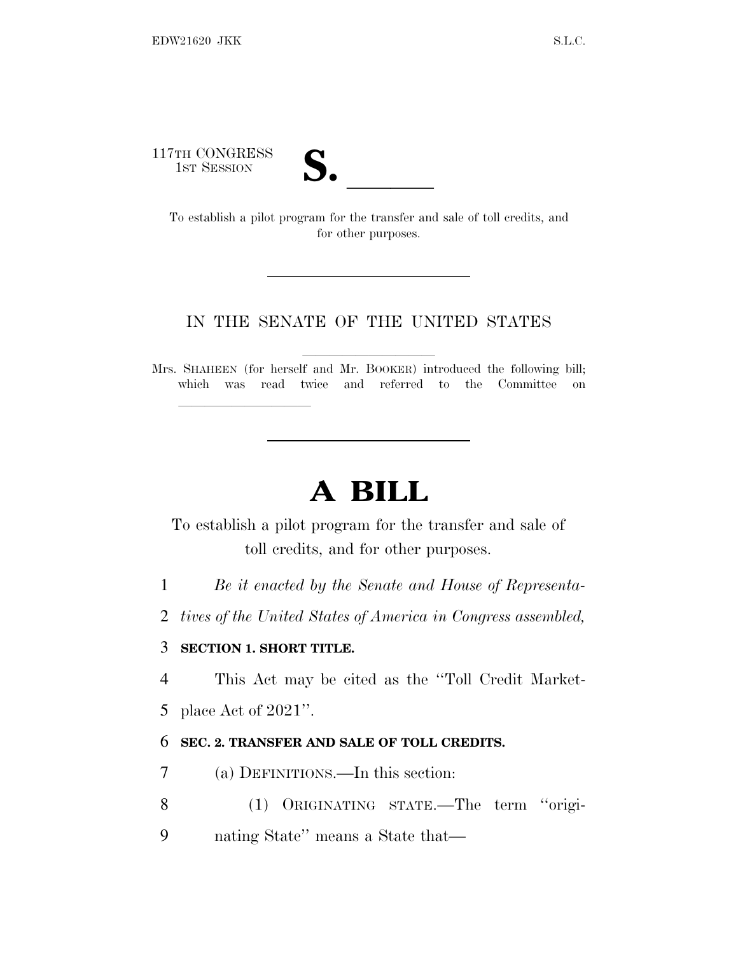117TH CONGRESS



TH CONGRESS<br>
1ST SESSION<br>
To establish a pilot program for the transfer and sale of toll credits, and for other purposes.

## IN THE SENATE OF THE UNITED STATES

Mrs. SHAHEEN (for herself and Mr. BOOKER) introduced the following bill; which was read twice and referred to the Committee on

## **A BILL**

To establish a pilot program for the transfer and sale of toll credits, and for other purposes.

1 *Be it enacted by the Senate and House of Representa-*

2 *tives of the United States of America in Congress assembled,*

## 3 **SECTION 1. SHORT TITLE.**

lla se al consegue de la consegue de la consegue de la consegue de la consegue de la consegue de la consegue d<br>La consegue de la consegue de la consegue de la consegue de la consegue de la consegue de la consegue de la co

4 This Act may be cited as the ''Toll Credit Market-

5 place Act of 2021''.

## 6 **SEC. 2. TRANSFER AND SALE OF TOLL CREDITS.**

- 7 (a) DEFINITIONS.—In this section:
- 8 (1) ORIGINATING STATE.—The term ''origi-
- 9 nating State'' means a State that—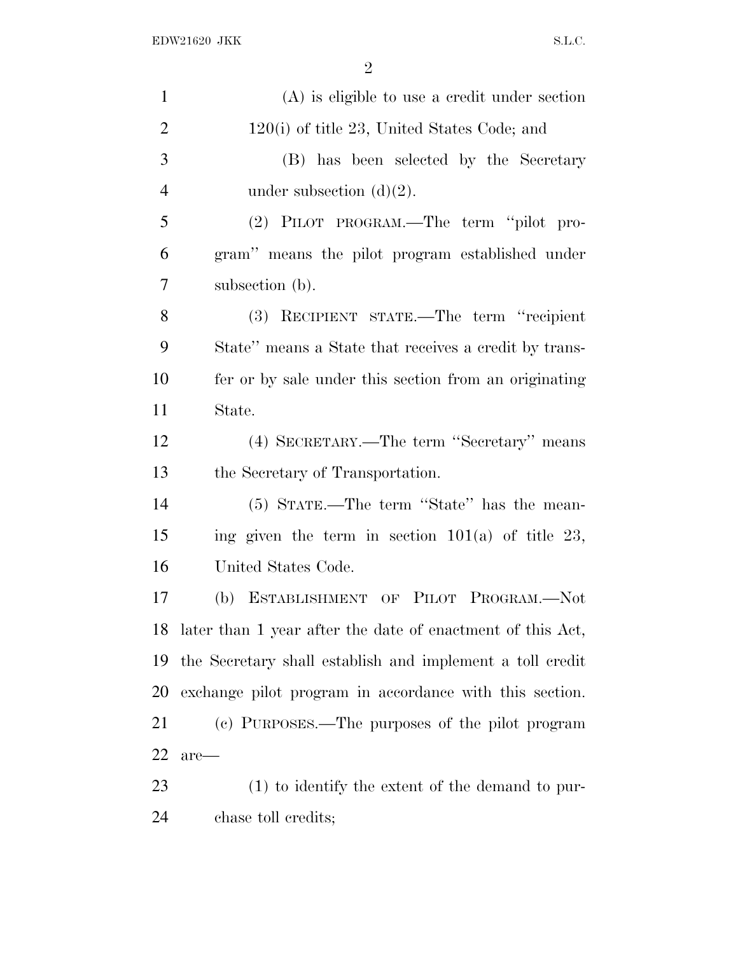| $\mathbf{1}$   | $(A)$ is eligible to use a credit under section               |
|----------------|---------------------------------------------------------------|
| $\overline{2}$ | $120(i)$ of title 23, United States Code; and                 |
| 3              | (B) has been selected by the Secretary                        |
| $\overline{4}$ | under subsection $(d)(2)$ .                                   |
| 5              | (2) PILOT PROGRAM.—The term "pilot pro-                       |
| 6              | gram" means the pilot program established under               |
| $\overline{7}$ | subsection (b).                                               |
| 8              | (3) RECIPIENT STATE.—The term "recipient"                     |
| 9              | State" means a State that receives a credit by trans-         |
| 10             | fer or by sale under this section from an originating         |
| 11             | State.                                                        |
| 12             | (4) SECRETARY.—The term "Secretary" means                     |
| 13             | the Secretary of Transportation.                              |
| 14             | (5) STATE.—The term "State" has the mean-                     |
| 15             | ing given the term in section $101(a)$ of title 23,           |
| 16             | United States Code.                                           |
| 17             | ESTABLISHMENT OF PILOT PROGRAM.-Not<br>(b)                    |
|                | 18 later than 1 year after the date of enactment of this Act, |
| 19             | the Secretary shall establish and implement a toll credit     |
| 20             | exchange pilot program in accordance with this section.       |
| 21             | (c) PURPOSES.—The purposes of the pilot program               |
| 22             | $are-$                                                        |
| 23             | $(1)$ to identify the extent of the demand to pur-            |
| 24             | chase toll credits;                                           |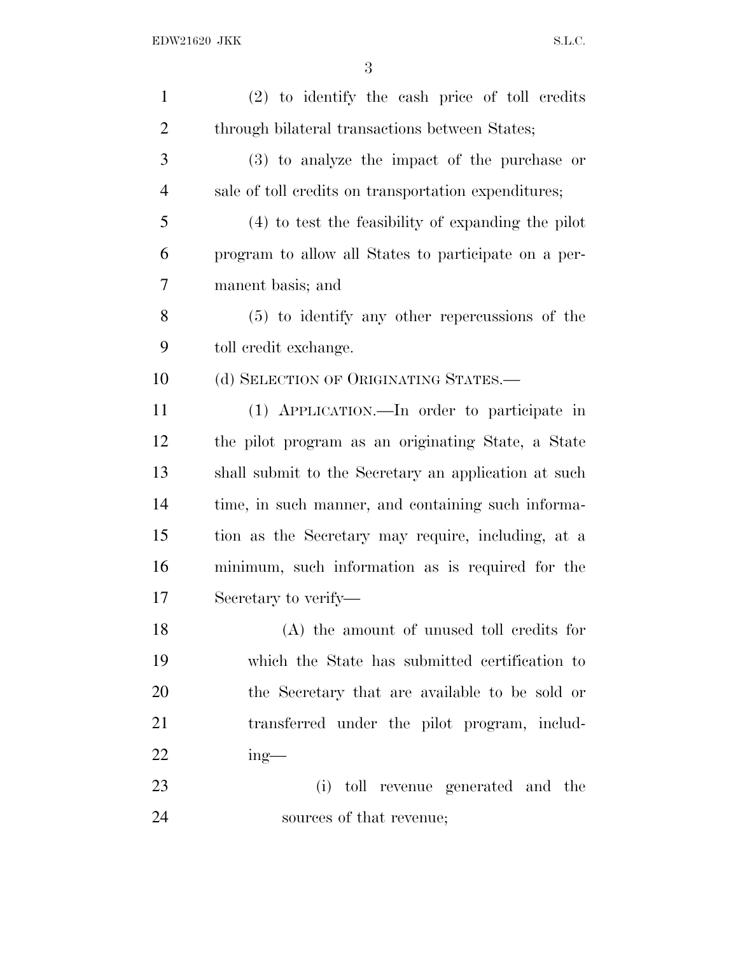| $\mathbf{1}$   | (2) to identify the cash price of toll credits       |
|----------------|------------------------------------------------------|
| $\overline{2}$ | through bilateral transactions between States;       |
| 3              | (3) to analyze the impact of the purchase or         |
| 4              | sale of toll credits on transportation expenditures; |
| 5              | (4) to test the feasibility of expanding the pilot   |
| 6              | program to allow all States to participate on a per- |
| 7              | manent basis; and                                    |
| 8              | $(5)$ to identify any other repercussions of the     |
| 9              | toll credit exchange.                                |
| 10             | (d) SELECTION OF ORIGINATING STATES.-                |
| 11             | (1) APPLICATION.—In order to participate in          |
| 12             | the pilot program as an originating State, a State   |
| 13             | shall submit to the Secretary an application at such |
| 14             | time, in such manner, and containing such informa-   |
| 15             | tion as the Secretary may require, including, at a   |
| 16             | minimum, such information as is required for the     |
| 17             | Secretary to verify—                                 |
| 18             | (A) the amount of unused toll credits for            |
| 19             | which the State has submitted certification to       |
| 20             | the Secretary that are available to be sold or       |
| 21             | transferred under the pilot program, includ-         |
| 22             | $ing$ —                                              |
| 23             | toll revenue generated and the<br>(i)                |
| 24             | sources of that revenue;                             |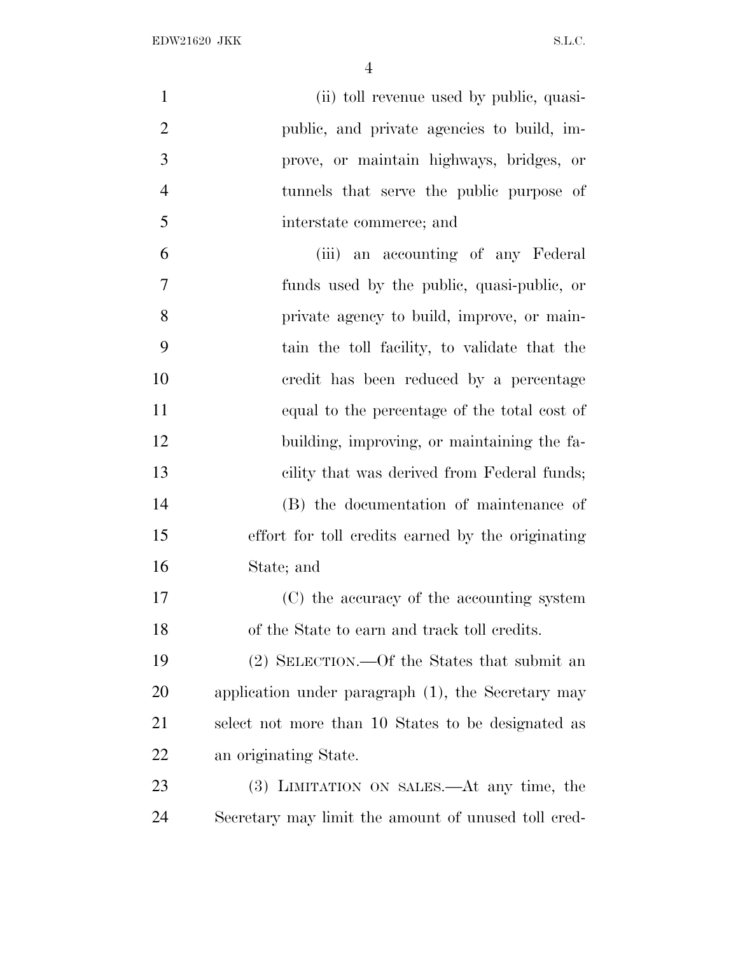| $\mathbf{1}$   | (ii) toll revenue used by public, quasi-            |
|----------------|-----------------------------------------------------|
| $\overline{2}$ | public, and private agencies to build, im-          |
| 3              | prove, or maintain highways, bridges, or            |
| $\overline{4}$ | tunnels that serve the public purpose of            |
| 5              | interstate commerce; and                            |
| 6              | (iii) an accounting of any Federal                  |
| $\overline{7}$ | funds used by the public, quasi-public, or          |
| 8              | private agency to build, improve, or main-          |
| 9              | tain the toll facility, to validate that the        |
| 10             | credit has been reduced by a percentage             |
| 11             | equal to the percentage of the total cost of        |
| 12             | building, improving, or maintaining the fa-         |
| 13             | cility that was derived from Federal funds;         |
| 14             | (B) the documentation of maintenance of             |
| 15             | effort for toll credits earned by the originating   |
| 16             | State; and                                          |
| 17             | (C) the accuracy of the accounting system           |
| 18             | of the State to earn and track toll credits.        |
| 19             | (2) SELECTION.—Of the States that submit an         |
| 20             | application under paragraph (1), the Secretary may  |
| 21             | select not more than 10 States to be designated as  |
| 22             | an originating State.                               |
| 23             | (3) LIMITATION ON SALES.—At any time, the           |
| 24             | Secretary may limit the amount of unused toll cred- |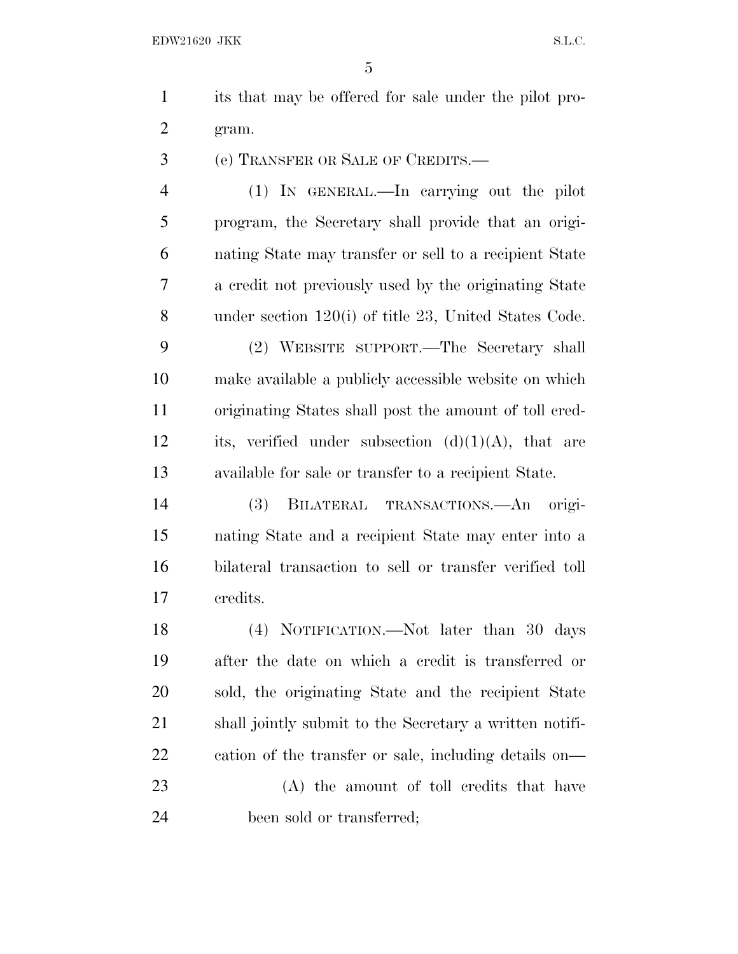its that may be offered for sale under the pilot pro-gram.

(e) TRANSFER OR SALE OF CREDITS.—

 (1) IN GENERAL.—In carrying out the pilot program, the Secretary shall provide that an origi- nating State may transfer or sell to a recipient State a credit not previously used by the originating State under section 120(i) of title 23, United States Code.

 (2) WEBSITE SUPPORT.—The Secretary shall make available a publicly accessible website on which originating States shall post the amount of toll cred-12 its, verified under subsection  $(d)(1)(A)$ , that are available for sale or transfer to a recipient State.

 (3) BILATERAL TRANSACTIONS.—An origi- nating State and a recipient State may enter into a bilateral transaction to sell or transfer verified toll credits.

 (4) NOTIFICATION.—Not later than 30 days after the date on which a credit is transferred or sold, the originating State and the recipient State shall jointly submit to the Secretary a written notifi-cation of the transfer or sale, including details on—

 (A) the amount of toll credits that have been sold or transferred;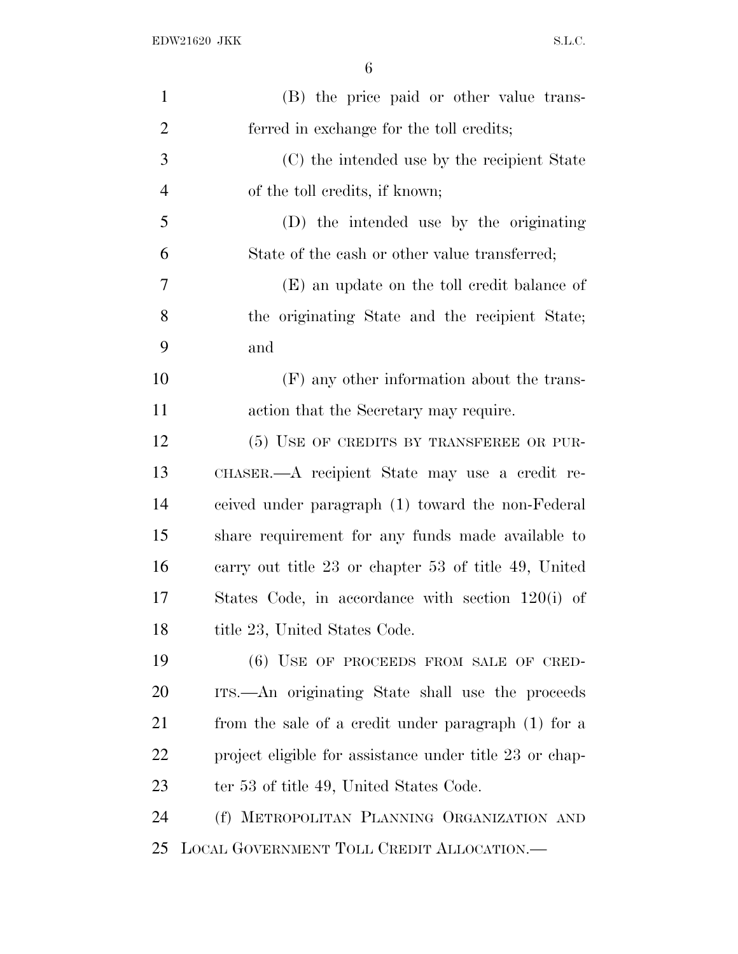| $\mathbf{1}$   | (B) the price paid or other value trans-                |
|----------------|---------------------------------------------------------|
| $\overline{2}$ | ferred in exchange for the toll credits;                |
| 3              | (C) the intended use by the recipient State             |
| $\overline{4}$ | of the toll credits, if known;                          |
| 5              | (D) the intended use by the originating                 |
| 6              | State of the cash or other value transferred;           |
| 7              | (E) an update on the toll credit balance of             |
| 8              | the originating State and the recipient State;          |
| 9              | and                                                     |
| 10             | (F) any other information about the trans-              |
| 11             | action that the Secretary may require.                  |
| 12             | (5) USE OF CREDITS BY TRANSFEREE OR PUR-                |
| 13             | CHASER.—A recipient State may use a credit re-          |
| 14             | ceived under paragraph (1) toward the non-Federal       |
| 15             | share requirement for any funds made available to       |
| 16             | carry out title 23 or chapter 53 of title 49, United    |
| 17             | States Code, in accordance with section 120(i) of       |
| 18             | title 23, United States Code.                           |
| 19             | $(6)$ USE OF PROCEEDS FROM SALE OF CRED-                |
| 20             | ITS.—An originating State shall use the proceeds        |
| 21             | from the sale of a credit under paragraph (1) for a     |
| 22             | project eligible for assistance under title 23 or chap- |
| 23             | ter 53 of title 49, United States Code.                 |
| 24             | (f) METROPOLITAN PLANNING ORGANIZATION AND              |
| 25             | LOCAL GOVERNMENT TOLL CREDIT ALLOCATION.—               |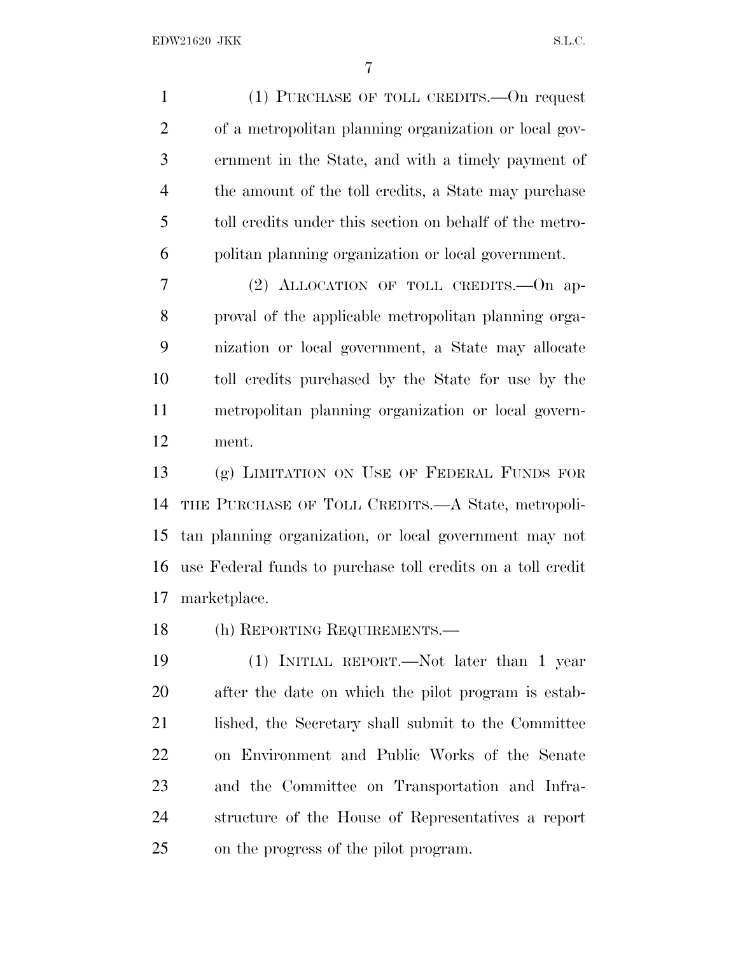(1) PURCHASE OF TOLL CREDITS.—On request of a metropolitan planning organization or local gov- ernment in the State, and with a timely payment of the amount of the toll credits, a State may purchase toll credits under this section on behalf of the metro-politan planning organization or local government.

 (2) ALLOCATION OF TOLL CREDITS.—On ap- proval of the applicable metropolitan planning orga- nization or local government, a State may allocate toll credits purchased by the State for use by the metropolitan planning organization or local govern-ment.

 (g) LIMITATION ON USE OF FEDERAL FUNDS FOR THE PURCHASE OF TOLL CREDITS.—A State, metropoli- tan planning organization, or local government may not use Federal funds to purchase toll credits on a toll credit marketplace.

(h) REPORTING REQUIREMENTS.—

 (1) INITIAL REPORT.—Not later than 1 year after the date on which the pilot program is estab-21 lished, the Secretary shall submit to the Committee on Environment and Public Works of the Senate and the Committee on Transportation and Infra- structure of the House of Representatives a report on the progress of the pilot program.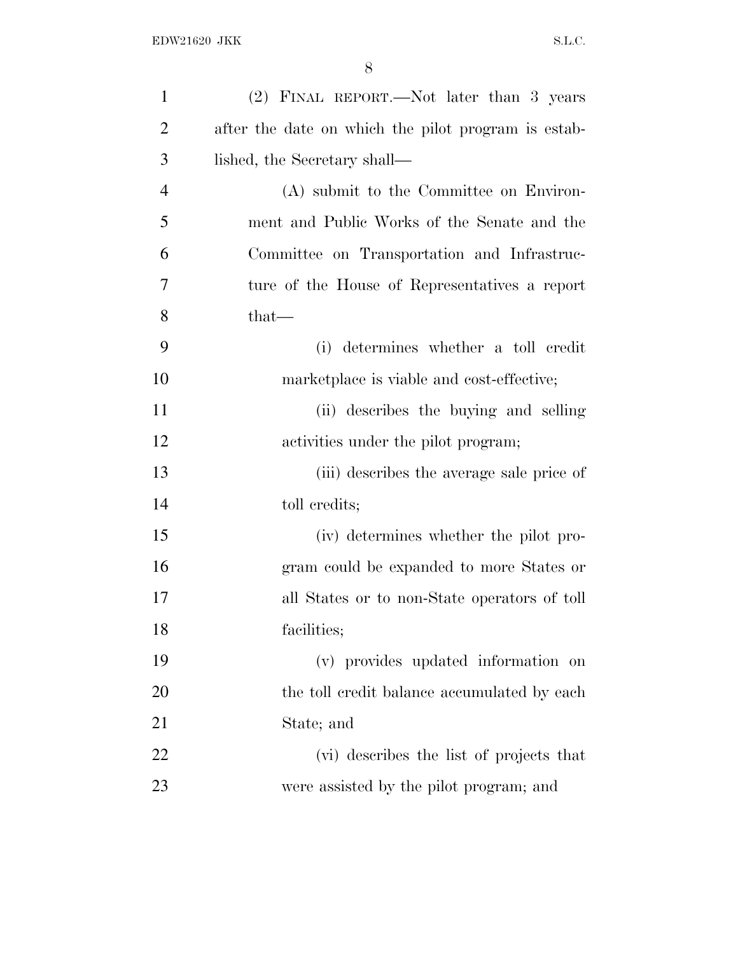| $\mathbf{1}$   | (2) FINAL REPORT.—Not later than 3 years            |
|----------------|-----------------------------------------------------|
| $\overline{2}$ | after the date on which the pilot program is estab- |
| 3              | lished, the Secretary shall—                        |
| $\overline{4}$ | (A) submit to the Committee on Environ-             |
| 5              | ment and Public Works of the Senate and the         |
| 6              | Committee on Transportation and Infrastruc-         |
| $\overline{7}$ | ture of the House of Representatives a report       |
| 8              | $that-$                                             |
| 9              | determines whether a toll credit<br>(i)             |
| 10             | marketplace is viable and cost-effective;           |
| 11             | (ii) describes the buying and selling               |
| 12             | activities under the pilot program;                 |
| 13             | (iii) describes the average sale price of           |
| 14             | toll credits;                                       |
| 15             | (iv) determines whether the pilot pro-              |
| 16             | gram could be expanded to more States or            |
| 17             | all States or to non-State operators of toll        |
| 18             | facilities;                                         |
| 19             | (v) provides updated information on                 |
| 20             | the toll credit balance accumulated by each         |
| 21             | State; and                                          |
| 22             | (vi) describes the list of projects that            |
| 23             | were assisted by the pilot program; and             |